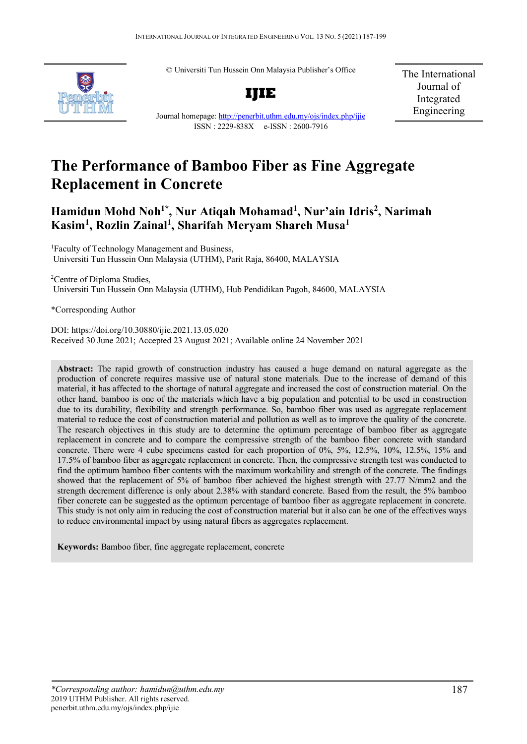© Universiti Tun Hussein Onn Malaysia Publisher's Office



**IJIE**

The International Journal of Integrated Engineering

Journal homepage:<http://penerbit.uthm.edu.my/ojs/index.php/ijie> ISSN : 2229-838X e-ISSN : 2600-7916

# **The Performance of Bamboo Fiber as Fine Aggregate Replacement in Concrete**

## **Hamidun Mohd Noh1\* , Nur Atiqah Mohamad1 , Nur'ain Idris2 , Narimah Kasim1 , Rozlin Zainal1 , Sharifah Meryam Shareh Musa1**

<sup>1</sup>Faculty of Technology Management and Business, Universiti Tun Hussein Onn Malaysia (UTHM), Parit Raja, 86400, MALAYSIA

<sup>2</sup>Centre of Diploma Studies, Universiti Tun Hussein Onn Malaysia (UTHM), Hub Pendidikan Pagoh, 84600, MALAYSIA

\*Corresponding Author

DOI: https://doi.org/10.30880/ijie.2021.13.05.020 Received 30 June 2021; Accepted 23 August 2021; Available online 24 November 2021

**Abstract:** The rapid growth of construction industry has caused a huge demand on natural aggregate as the production of concrete requires massive use of natural stone materials. Due to the increase of demand of this material, it has affected to the shortage of natural aggregate and increased the cost of construction material. On the other hand, bamboo is one of the materials which have a big population and potential to be used in construction due to its durability, flexibility and strength performance. So, bamboo fiber was used as aggregate replacement material to reduce the cost of construction material and pollution as well as to improve the quality of the concrete. The research objectives in this study are to determine the optimum percentage of bamboo fiber as aggregate replacement in concrete and to compare the compressive strength of the bamboo fiber concrete with standard concrete. There were 4 cube specimens casted for each proportion of 0%, 5%, 12.5%, 10%, 12.5%, 15% and 17.5% of bamboo fiber as aggregate replacement in concrete. Then, the compressive strength test was conducted to find the optimum bamboo fiber contents with the maximum workability and strength of the concrete. The findings showed that the replacement of 5% of bamboo fiber achieved the highest strength with 27.77 N/mm2 and the strength decrement difference is only about 2.38% with standard concrete. Based from the result, the 5% bamboo fiber concrete can be suggested as the optimum percentage of bamboo fiber as aggregate replacement in concrete. This study is not only aim in reducing the cost of construction material but it also can be one of the effectives ways to reduce environmental impact by using natural fibers as aggregates replacement.

**Keywords:** Bamboo fiber, fine aggregate replacement, concrete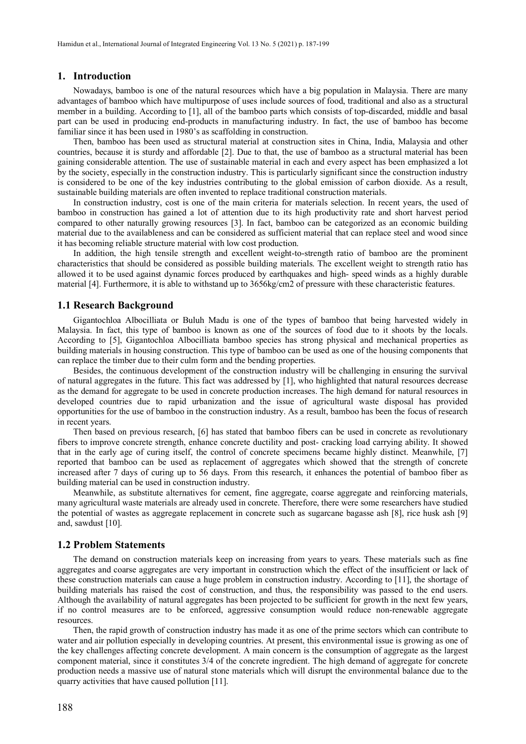## **1. Introduction**

Nowadays, bamboo is one of the natural resources which have a big population in Malaysia. There are many advantages of bamboo which have multipurpose of uses include sources of food, traditional and also as a structural member in a building. According to [1], all of the bamboo parts which consists of top-discarded, middle and basal part can be used in producing end-products in manufacturing industry. In fact, the use of bamboo has become familiar since it has been used in 1980's as scaffolding in construction.

Then, bamboo has been used as structural material at construction sites in China, India, Malaysia and other countries, because it is sturdy and affordable [2]. Due to that, the use of bamboo as a structural material has been gaining considerable attention. The use of sustainable material in each and every aspect has been emphasized a lot by the society, especially in the construction industry. This is particularly significant since the construction industry is considered to be one of the key industries contributing to the global emission of carbon dioxide. As a result, sustainable building materials are often invented to replace traditional construction materials.

In construction industry, cost is one of the main criteria for materials selection. In recent years, the used of bamboo in construction has gained a lot of attention due to its high productivity rate and short harvest period compared to other naturally growing resources [3]. In fact, bamboo can be categorized as an economic building material due to the availableness and can be considered as sufficient material that can replace steel and wood since it has becoming reliable structure material with low cost production.

In addition, the high tensile strength and excellent weight-to-strength ratio of bamboo are the prominent characteristics that should be considered as possible building materials. The excellent weight to strength ratio has allowed it to be used against dynamic forces produced by earthquakes and high- speed winds as a highly durable material [4]. Furthermore, it is able to withstand up to 3656kg/cm2 of pressure with these characteristic features.

### **1.1 Research Background**

Gigantochloa Albocilliata or Buluh Madu is one of the types of bamboo that being harvested widely in Malaysia. In fact, this type of bamboo is known as one of the sources of food due to it shoots by the locals. According to [5], Gigantochloa Albocilliata bamboo species has strong physical and mechanical properties as building materials in housing construction. This type of bamboo can be used as one of the housing components that can replace the timber due to their culm form and the bending properties.

Besides, the continuous development of the construction industry will be challenging in ensuring the survival of natural aggregates in the future. This fact was addressed by [1], who highlighted that natural resources decrease as the demand for aggregate to be used in concrete production increases. The high demand for natural resources in developed countries due to rapid urbanization and the issue of agricultural waste disposal has provided opportunities for the use of bamboo in the construction industry. As a result, bamboo has been the focus of research in recent years.

Then based on previous research, [6] has stated that bamboo fibers can be used in concrete as revolutionary fibers to improve concrete strength, enhance concrete ductility and post- cracking load carrying ability. It showed that in the early age of curing itself, the control of concrete specimens became highly distinct. Meanwhile, [7] reported that bamboo can be used as replacement of aggregates which showed that the strength of concrete increased after 7 days of curing up to 56 days. From this research, it enhances the potential of bamboo fiber as building material can be used in construction industry.

Meanwhile, as substitute alternatives for cement, fine aggregate, coarse aggregate and reinforcing materials, many agricultural waste materials are already used in concrete. Therefore, there were some researchers have studied the potential of wastes as aggregate replacement in concrete such as sugarcane bagasse ash [8], rice husk ash [9] and, sawdust [10].

#### **1.2 Problem Statements**

The demand on construction materials keep on increasing from years to years. These materials such as fine aggregates and coarse aggregates are very important in construction which the effect of the insufficient or lack of these construction materials can cause a huge problem in construction industry. According to [11], the shortage of building materials has raised the cost of construction, and thus, the responsibility was passed to the end users. Although the availability of natural aggregates has been projected to be sufficient for growth in the next few years, if no control measures are to be enforced, aggressive consumption would reduce non-renewable aggregate resources.

Then, the rapid growth of construction industry has made it as one of the prime sectors which can contribute to water and air pollution especially in developing countries. At present, this environmental issue is growing as one of the key challenges affecting concrete development. A main concern is the consumption of aggregate as the largest component material, since it constitutes 3/4 of the concrete ingredient. The high demand of aggregate for concrete production needs a massive use of natural stone materials which will disrupt the environmental balance due to the quarry activities that have caused pollution [11].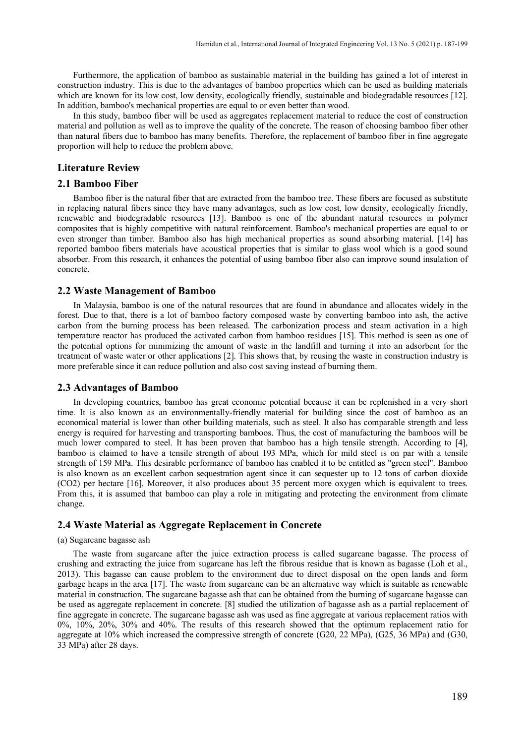Furthermore, the application of bamboo as sustainable material in the building has gained a lot of interest in construction industry. This is due to the advantages of bamboo properties which can be used as building materials which are known for its low cost, low density, ecologically friendly, sustainable and biodegradable resources [12]. In addition, bamboo's mechanical properties are equal to or even better than wood.

In this study, bamboo fiber will be used as aggregates replacement material to reduce the cost of construction material and pollution as well as to improve the quality of the concrete. The reason of choosing bamboo fiber other than natural fibers due to bamboo has many benefits. Therefore, the replacement of bamboo fiber in fine aggregate proportion will help to reduce the problem above.

## **Literature Review**

### **2.1 Bamboo Fiber**

Bamboo fiber is the natural fiber that are extracted from the bamboo tree. These fibers are focused as substitute in replacing natural fibers since they have many advantages, such as low cost, low density, ecologically friendly, renewable and biodegradable resources [13]. Bamboo is one of the abundant natural resources in polymer composites that is highly competitive with natural reinforcement. Bamboo's mechanical properties are equal to or even stronger than timber. Bamboo also has high mechanical properties as sound absorbing material. [14] has reported bamboo fibers materials have acoustical properties that is similar to glass wool which is a good sound absorber. From this research, it enhances the potential of using bamboo fiber also can improve sound insulation of concrete.

### **2.2 Waste Management of Bamboo**

In Malaysia, bamboo is one of the natural resources that are found in abundance and allocates widely in the forest. Due to that, there is a lot of bamboo factory composed waste by converting bamboo into ash, the active carbon from the burning process has been released. The carbonization process and steam activation in a high temperature reactor has produced the activated carbon from bamboo residues [15]. This method is seen as one of the potential options for minimizing the amount of waste in the landfill and turning it into an adsorbent for the treatment of waste water or other applications [2]. This shows that, by reusing the waste in construction industry is more preferable since it can reduce pollution and also cost saving instead of burning them.

#### **2.3 Advantages of Bamboo**

In developing countries, bamboo has great economic potential because it can be replenished in a very short time. It is also known as an environmentally-friendly material for building since the cost of bamboo as an economical material is lower than other building materials, such as steel. It also has comparable strength and less energy is required for harvesting and transporting bamboos. Thus, the cost of manufacturing the bamboos will be much lower compared to steel. It has been proven that bamboo has a high tensile strength. According to [4], bamboo is claimed to have a tensile strength of about 193 MPa, which for mild steel is on par with a tensile strength of 159 MPa. This desirable performance of bamboo has enabled it to be entitled as "green steel". Bamboo is also known as an excellent carbon sequestration agent since it can sequester up to 12 tons of carbon dioxide (CO2) per hectare [16]. Moreover, it also produces about 35 percent more oxygen which is equivalent to trees. From this, it is assumed that bamboo can play a role in mitigating and protecting the environment from climate change.

## **2.4 Waste Material as Aggregate Replacement in Concrete**

#### (a) Sugarcane bagasse ash

The waste from sugarcane after the juice extraction process is called sugarcane bagasse. The process of crushing and extracting the juice from sugarcane has left the fibrous residue that is known as bagasse (Loh et al., 2013). This bagasse can cause problem to the environment due to direct disposal on the open lands and form garbage heaps in the area [17]. The waste from sugarcane can be an alternative way which is suitable as renewable material in construction. The sugarcane bagasse ash that can be obtained from the burning of sugarcane bagasse can be used as aggregate replacement in concrete. [8] studied the utilization of bagasse ash as a partial replacement of fine aggregate in concrete. The sugarcane bagasse ash was used as fine aggregate at various replacement ratios with 0%, 10%, 20%, 30% and 40%. The results of this research showed that the optimum replacement ratio for aggregate at 10% which increased the compressive strength of concrete (G20, 22 MPa), (G25, 36 MPa) and (G30, 33 MPa) after 28 days.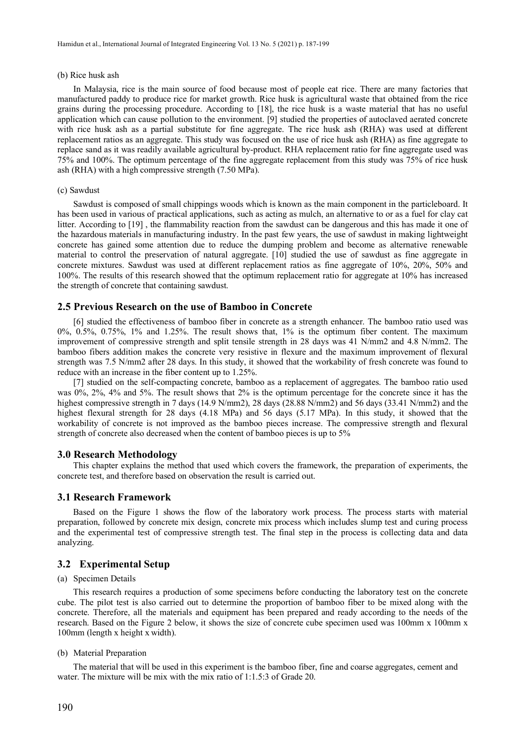#### (b) Rice husk ash

In Malaysia, rice is the main source of food because most of people eat rice. There are many factories that manufactured paddy to produce rice for market growth. Rice husk is agricultural waste that obtained from the rice grains during the processing procedure. According to [18], the rice husk is a waste material that has no useful application which can cause pollution to the environment. [9] studied the properties of autoclaved aerated concrete with rice husk ash as a partial substitute for fine aggregate. The rice husk ash (RHA) was used at different replacement ratios as an aggregate. This study was focused on the use of rice husk ash (RHA) as fine aggregate to replace sand as it was readily available agricultural by-product. RHA replacement ratio for fine aggregate used was 75% and 100%. The optimum percentage of the fine aggregate replacement from this study was 75% of rice husk ash (RHA) with a high compressive strength (7.50 MPa).

#### (c) Sawdust

Sawdust is composed of small chippings woods which is known as the main component in the particleboard. It has been used in various of practical applications, such as acting as mulch, an alternative to or as a fuel for clay cat litter. According to [19] , the flammability reaction from the sawdust can be dangerous and this has made it one of the hazardous materials in manufacturing industry. In the past few years, the use of sawdust in making lightweight concrete has gained some attention due to reduce the dumping problem and become as alternative renewable material to control the preservation of natural aggregate. [10] studied the use of sawdust as fine aggregate in concrete mixtures. Sawdust was used at different replacement ratios as fine aggregate of 10%, 20%, 50% and 100%. The results of this research showed that the optimum replacement ratio for aggregate at 10% has increased the strength of concrete that containing sawdust.

### **2.5 Previous Research on the use of Bamboo in Concrete**

[6] studied the effectiveness of bamboo fiber in concrete as a strength enhancer. The bamboo ratio used was 0%, 0.5%, 0.75%, 1% and 1.25%. The result shows that, 1% is the optimum fiber content. The maximum improvement of compressive strength and split tensile strength in 28 days was 41 N/mm2 and 4.8 N/mm2. The bamboo fibers addition makes the concrete very resistive in flexure and the maximum improvement of flexural strength was 7.5 N/mm2 after 28 days. In this study, it showed that the workability of fresh concrete was found to reduce with an increase in the fiber content up to 1.25%.

[7] studied on the self-compacting concrete, bamboo as a replacement of aggregates. The bamboo ratio used was 0%, 2%, 4% and 5%. The result shows that 2% is the optimum percentage for the concrete since it has the highest compressive strength in 7 days (14.9 N/mm2), 28 days (28.88 N/mm2) and 56 days (33.41 N/mm2) and the highest flexural strength for 28 days (4.18 MPa) and 56 days (5.17 MPa). In this study, it showed that the workability of concrete is not improved as the bamboo pieces increase. The compressive strength and flexural strength of concrete also decreased when the content of bamboo pieces is up to 5%

#### **3.0 Research Methodology**

This chapter explains the method that used which covers the framework, the preparation of experiments, the concrete test, and therefore based on observation the result is carried out.

#### **3.1 Research Framework**

Based on the Figure 1 shows the flow of the laboratory work process. The process starts with material preparation, followed by concrete mix design, concrete mix process which includes slump test and curing process and the experimental test of compressive strength test. The final step in the process is collecting data and data analyzing.

## **3.2 Experimental Setup**

## (a) Specimen Details

This research requires a production of some specimens before conducting the laboratory test on the concrete cube. The pilot test is also carried out to determine the proportion of bamboo fiber to be mixed along with the concrete. Therefore, all the materials and equipment has been prepared and ready according to the needs of the research. Based on the Figure 2 below, it shows the size of concrete cube specimen used was 100mm x 100mm x 100mm (length x height x width).

#### (b) Material Preparation

The material that will be used in this experiment is the bamboo fiber, fine and coarse aggregates, cement and water. The mixture will be mix with the mix ratio of 1:1.5:3 of Grade 20.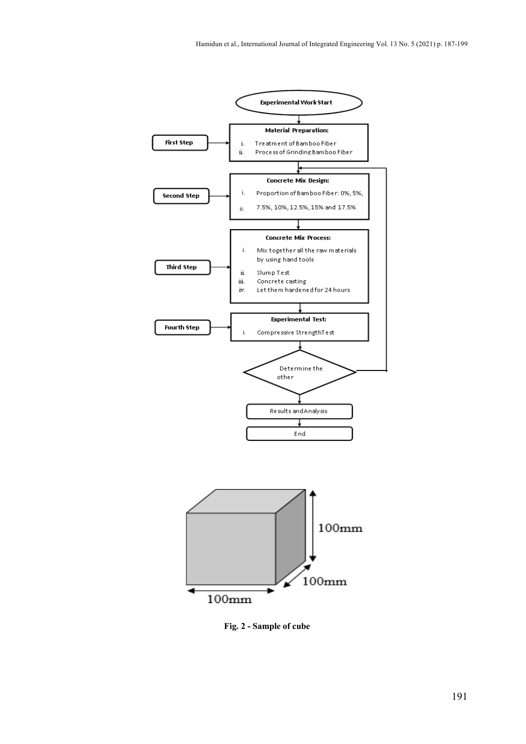

**Fig. 2 - Sample of cube**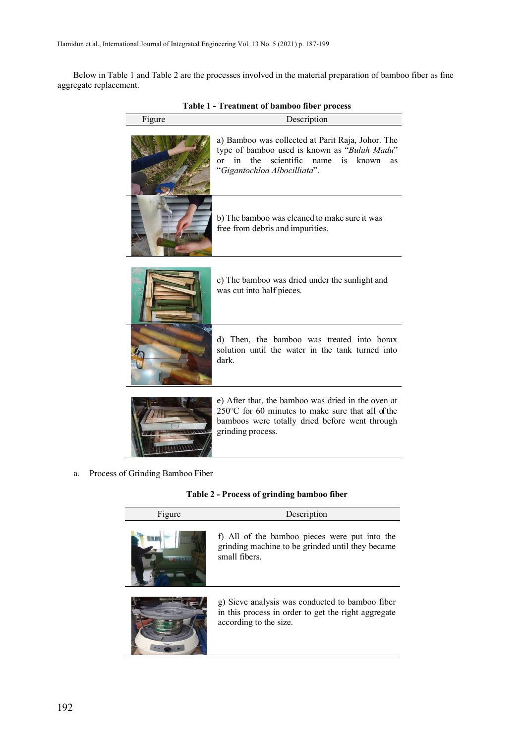Below in Table 1 and Table 2 are the processes involved in the material preparation of bamboo fiber as fine aggregate replacement.

| Figure | Description                                                                                                                                                                                                             |
|--------|-------------------------------------------------------------------------------------------------------------------------------------------------------------------------------------------------------------------------|
|        | a) Bamboo was collected at Parit Raja, Johor. The<br>type of bamboo used is known as "Buluh Madu"<br>scientific<br>the<br>in<br>known<br><sub>or</sub><br>name<br>$\overline{1}S$<br>as<br>"Gigantochloa Albocilliata". |
|        | b) The bamboo was cleaned to make sure it was<br>free from debris and impurities.                                                                                                                                       |
|        | c) The bamboo was dried under the sunlight and<br>was cut into half pieces.                                                                                                                                             |
|        | d) Then, the bamboo was treated into borax<br>solution until the water in the tank turned into<br>dark.                                                                                                                 |
|        | e) After that, the bamboo was dried in the oven at<br>$250^{\circ}$ C for 60 minutes to make sure that all of the<br>bamboos were totally dried before went through<br>grinding process.                                |

**Table 1 - Treatment of bamboo fiber process**

a. Process of Grinding Bamboo Fiber

**Table 2 - Process of grinding bamboo fiber**

| Figure | Description                                                                                                                      |
|--------|----------------------------------------------------------------------------------------------------------------------------------|
|        | f) All of the bamboo pieces were put into the<br>grinding machine to be grinded until they became<br>small fibers.               |
|        | g) Sieve analysis was conducted to bamboo fiber<br>in this process in order to get the right aggregate<br>according to the size. |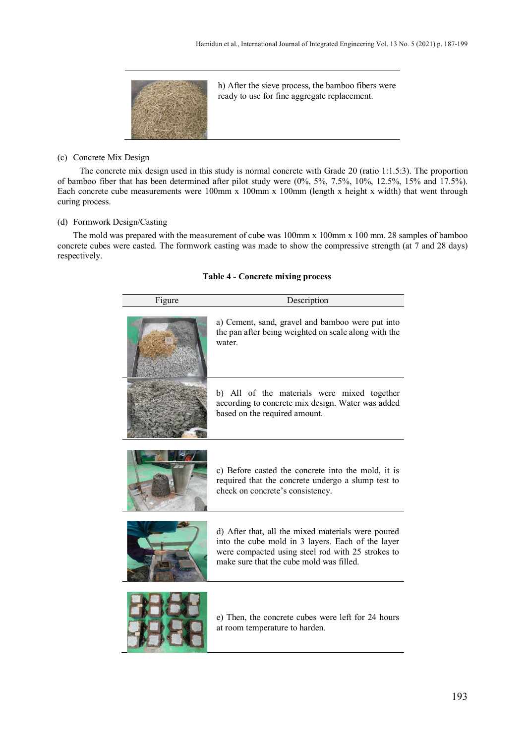

h) After the sieve process, the bamboo fibers were ready to use for fine aggregate replacement.

(c) Concrete Mix Design

The concrete mix design used in this study is normal concrete with Grade 20 (ratio 1:1.5:3). The proportion of bamboo fiber that has been determined after pilot study were (0%, 5%, 7.5%, 10%, 12.5%, 15% and 17.5%). Each concrete cube measurements were 100mm x 100mm x 100mm (length x height x width) that went through curing process.

## (d) Formwork Design/Casting

The mold was prepared with the measurement of cube was 100mm x 100mm x 100 mm. 28 samples of bamboo concrete cubes were casted. The formwork casting was made to show the compressive strength (at 7 and 28 days) respectively.

| Figure | Description                                                                                                                                                                                              |
|--------|----------------------------------------------------------------------------------------------------------------------------------------------------------------------------------------------------------|
|        | a) Cement, sand, gravel and bamboo were put into<br>the pan after being weighted on scale along with the<br>water.                                                                                       |
|        | b) All of the materials were mixed together<br>according to concrete mix design. Water was added<br>based on the required amount.                                                                        |
|        | c) Before casted the concrete into the mold, it is<br>required that the concrete undergo a slump test to<br>check on concrete's consistency.                                                             |
|        | d) After that, all the mixed materials were poured<br>into the cube mold in 3 layers. Each of the layer<br>were compacted using steel rod with 25 strokes to<br>make sure that the cube mold was filled. |
|        | e) Then, the concrete cubes were left for 24 hours<br>at room temperature to harden.                                                                                                                     |

## **Table 4 - Concrete mixing process**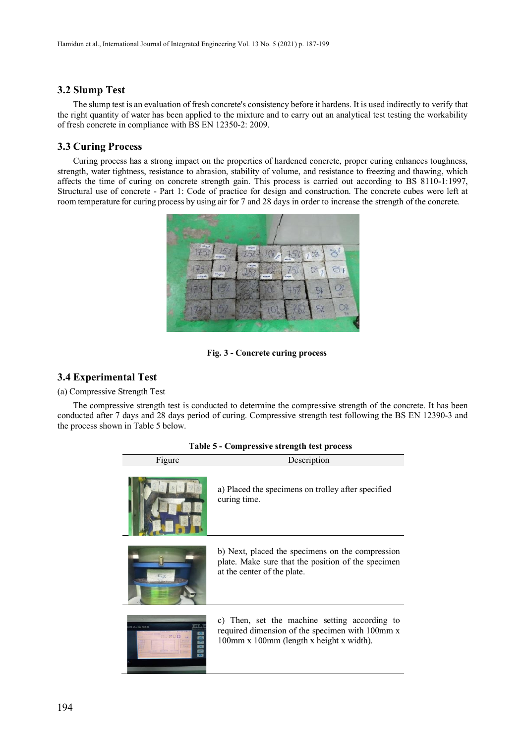## **3.2 Slump Test**

The slump test is an evaluation of fresh concrete's consistency before it hardens. It is used indirectly to verify that the right quantity of water has been applied to the mixture and to carry out an analytical test testing the workability of fresh concrete in compliance with BS EN 12350-2: 2009.

## **3.3 Curing Process**

Curing process has a strong impact on the properties of hardened concrete, proper curing enhances toughness, strength, water tightness, resistance to abrasion, stability of volume, and resistance to freezing and thawing, which affects the time of curing on concrete strength gain. This process is carried out according to BS 8110-1:1997, Structural use of concrete - Part 1: Code of practice for design and construction. The concrete cubes were left at room temperature for curing process by using air for 7 and 28 days in order to increase the strength of the concrete.



**Fig. 3 - Concrete curing process**

## **3.4 Experimental Test**

(a) Compressive Strength Test

The compressive strength test is conducted to determine the compressive strength of the concrete. It has been conducted after 7 days and 28 days period of curing. Compressive strength test following the BS EN 12390-3 and the process shown in Table 5 below.

| Figure | Description                                                                                                                                  |
|--------|----------------------------------------------------------------------------------------------------------------------------------------------|
|        | a) Placed the specimens on trolley after specified<br>curing time.                                                                           |
|        | b) Next, placed the specimens on the compression<br>plate. Make sure that the position of the specimen<br>at the center of the plate.        |
| 000    | c) Then, set the machine setting according to<br>required dimension of the specimen with 100mm x<br>100mm x 100mm (length x height x width). |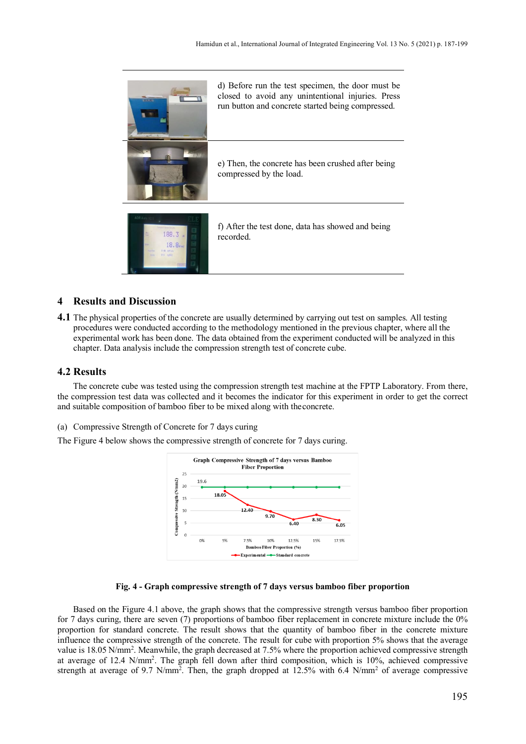

## **4 Results and Discussion**

**4.1** The physical properties of the concrete are usually determined by carrying out test on samples. All testing procedures were conducted according to the methodology mentioned in the previous chapter, where all the experimental work has been done. The data obtained from the experiment conducted will be analyzed in this chapter. Data analysis include the compression strength test of concrete cube.

## **4.2 Results**

The concrete cube was tested using the compression strength test machine at the FPTP Laboratory. From there, the compression test data was collected and it becomes the indicator for this experiment in order to get the correct and suitable composition of bamboo fiber to be mixed along with theconcrete.

(a) Compressive Strength of Concrete for 7 days curing

The Figure 4 below shows the compressive strength of concrete for 7 days curing.



#### **Fig. 4 - Graph compressive strength of 7 days versus bamboo fiber proportion**

Based on the Figure 4.1 above, the graph shows that the compressive strength versus bamboo fiber proportion for 7 days curing, there are seven (7) proportions of bamboo fiber replacement in concrete mixture include the 0% proportion for standard concrete. The result shows that the quantity of bamboo fiber in the concrete mixture influence the compressive strength of the concrete. The result for cube with proportion 5% shows that the average value is 18.05 N/mm<sup>2</sup>. Meanwhile, the graph decreased at 7.5% where the proportion achieved compressive strength at average of 12.4 N/mm<sup>2</sup>. The graph fell down after third composition, which is 10%, achieved compressive strength at average of 9.7 N/mm<sup>2</sup>. Then, the graph dropped at 12.5% with 6.4 N/mm<sup>2</sup> of average compressive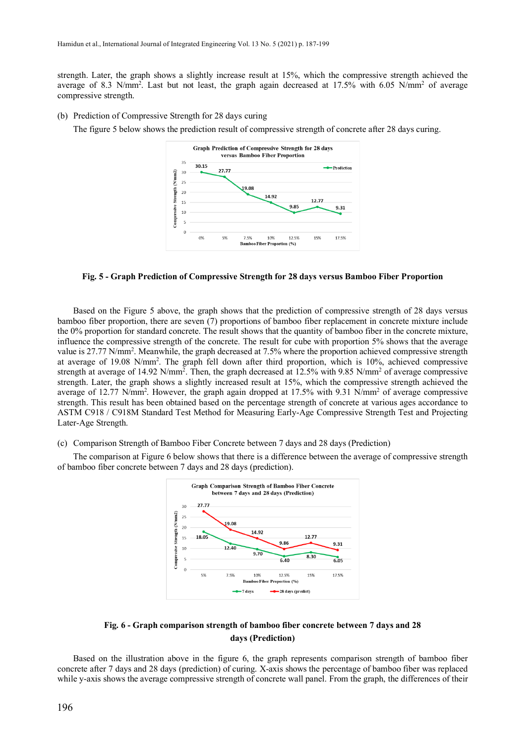strength. Later, the graph shows a slightly increase result at 15%, which the compressive strength achieved the average of 8.3 N/mm<sup>2</sup>. Last but not least, the graph again decreased at 17.5% with 6.05 N/mm<sup>2</sup> of average compressive strength.

(b) Prediction of Compressive Strength for 28 days curing

The figure 5 below shows the prediction result of compressive strength of concrete after 28 days curing.



#### **Fig. 5 - Graph Prediction of Compressive Strength for 28 days versus Bamboo Fiber Proportion**

Based on the Figure 5 above, the graph shows that the prediction of compressive strength of 28 days versus bamboo fiber proportion, there are seven (7) proportions of bamboo fiber replacement in concrete mixture include the 0% proportion for standard concrete. The result shows that the quantity of bamboo fiber in the concrete mixture, influence the compressive strength of the concrete. The result for cube with proportion 5% shows that the average value is 27.77 N/mm<sup>2</sup>. Meanwhile, the graph decreased at 7.5% where the proportion achieved compressive strength at average of 19.08 N/mm<sup>2</sup>. The graph fell down after third proportion, which is 10%, achieved compressive strength at average of 14.92 N/mm<sup>2</sup>. Then, the graph decreased at 12.5% with 9.85 N/mm<sup>2</sup> of average compressive strength. Later, the graph shows a slightly increased result at 15%, which the compressive strength achieved the average of 12.77 N/mm<sup>2</sup>. However, the graph again dropped at 17.5% with 9.31 N/mm<sup>2</sup> of average compressive strength. This result has been obtained based on the percentage strength of concrete at various ages accordance to ASTM C918 / C918M Standard Test Method for Measuring Early-Age Compressive Strength Test and Projecting Later-Age Strength.

#### (c) Comparison Strength of Bamboo Fiber Concrete between 7 days and 28 days (Prediction)

The comparison at Figure 6 below shows that there is a difference between the average of compressive strength of bamboo fiber concrete between 7 days and 28 days (prediction).



## **Fig. 6 - Graph comparison strength of bamboo fiber concrete between 7 days and 28 days (Prediction)**

Based on the illustration above in the figure 6, the graph represents comparison strength of bamboo fiber concrete after 7 days and 28 days (prediction) of curing. X-axis shows the percentage of bamboo fiber was replaced while y-axis shows the average compressive strength of concrete wall panel. From the graph, the differences of their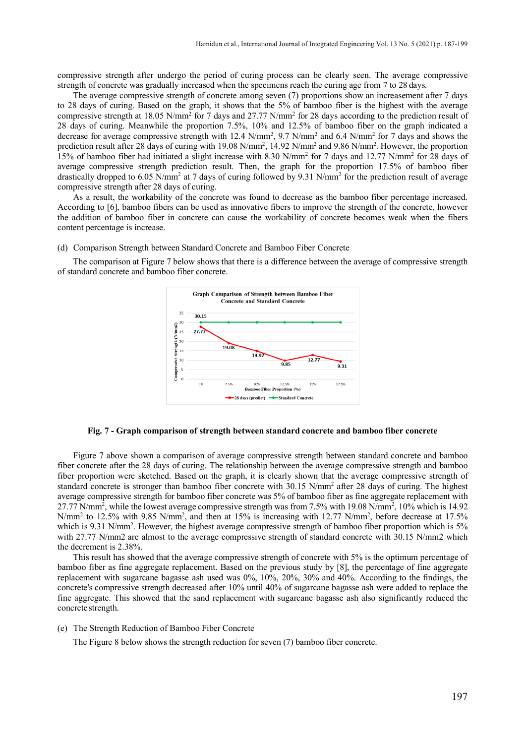compressive strength after undergo the period of curing process can be clearly seen. The average compressive strength of concrete was gradually increased when the specimens reach the curing age from 7 to 28 days.

The average compressive strength of concrete among seven (7) proportions show an increasement after 7 days to 28 days of curing. Based on the graph, it shows that the 5% of bamboo fiber is the highest with the average compressive strength at 18.05 N/mm2 for 7 days and 27.77 N/mm2 for 28 days according to the prediction result of 28 days of curing. Meanwhile the proportion 7.5%, 10% and 12.5% of bamboo fiber on the graph indicated a decrease for average compressive strength with 12.4  $N/mm^2$ , 9.7  $N/mm^2$  and 6.4  $N/mm^2$  for 7 days and shows the prediction result after 28 days of curing with 19.08 N/mm<sup>2</sup>, 14.92 N/mm<sup>2</sup> and 9.86 N/mm<sup>2</sup>. However, the proportion 15% of bamboo fiber had initiated a slight increase with 8.30 N/mm2 for 7 days and 12.77 N/mm2 for 28 days of average compressive strength prediction result. Then, the graph for the proportion 17.5% of bamboo fiber drastically dropped to 6.05 N/mm<sup>2</sup> at 7 days of curing followed by 9.31 N/mm<sup>2</sup> for the prediction result of average compressive strength after 28 days of curing.

As a result, the workability of the concrete was found to decrease as the bamboo fiber percentage increased. According to [6], bamboo fibers can be used as innovative fibers to improve the strength of the concrete, however the addition of bamboo fiber in concrete can cause the workability of concrete becomes weak when the fibers content percentage is increase.

(d) Comparison Strength between Standard Concrete and Bamboo Fiber Concrete

The comparison at Figure 7 below shows that there is a difference between the average of compressive strength of standard concrete and bamboo fiber concrete.



#### **Fig. 7 - Graph comparison of strength between standard concrete and bamboo fiber concrete**

Figure 7 above shown a comparison of average compressive strength between standard concrete and bamboo fiber concrete after the 28 days of curing. The relationship between the average compressive strength and bamboo fiber proportion were sketched. Based on the graph, it is clearly shown that the average compressive strength of standard concrete is stronger than bamboo fiber concrete with 30.15 N/mm<sup>2</sup> after 28 days of curing. The highest average compressive strength for bamboo fiber concrete was 5% of bamboo fiber as fine aggregate replacement with 27.77 N/mm<sup>2</sup>, while the lowest average compressive strength was from 7.5% with 19.08 N/mm<sup>2</sup>, 10% which is 14.92 N/mm<sup>2</sup> to 12.5% with 9.85 N/mm<sup>2</sup>, and then at 15% is increasing with 12.77 N/mm<sup>2</sup>, before decrease at 17.5% which is 9.31 N/mm<sup>2</sup>. However, the highest average compressive strength of bamboo fiber proportion which is 5% with 27.77 N/mm2 are almost to the average compressive strength of standard concrete with 30.15 N/mm2 which the decrement is 2.38%.

This result has showed that the average compressive strength of concrete with 5% is the optimum percentage of bamboo fiber as fine aggregate replacement. Based on the previous study by [8], the percentage of fine aggregate replacement with sugarcane bagasse ash used was 0%, 10%, 20%, 30% and 40%. According to the findings, the concrete's compressive strength decreased after 10% until 40% of sugarcane bagasse ash were added to replace the fine aggregate. This showed that the sand replacement with sugarcane bagasse ash also significantly reduced the concrete strength.

#### (e) The Strength Reduction of Bamboo Fiber Concrete

The Figure 8 below shows the strength reduction for seven (7) bamboo fiber concrete.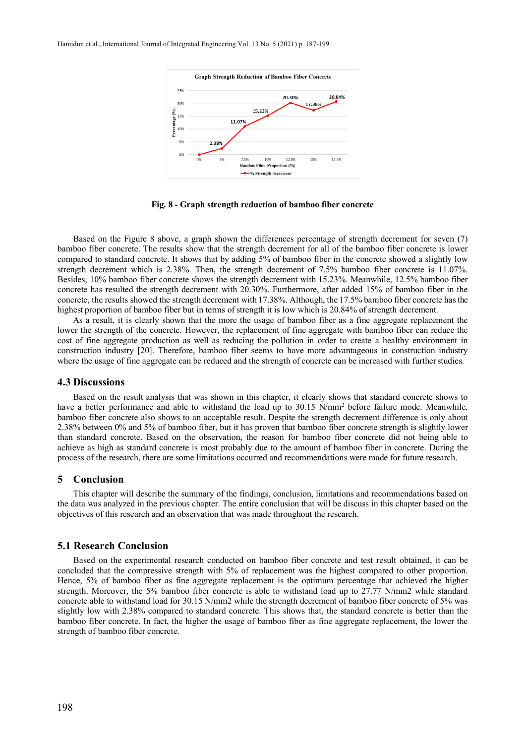

**Fig. 8 - Graph strength reduction of bamboo fiber concrete**

Based on the Figure 8 above, a graph shown the differences percentage of strength decrement for seven (7) bamboo fiber concrete. The results show that the strength decrement for all of the bamboo fiber concrete is lower compared to standard concrete. It shows that by adding 5% of bamboo fiber in the concrete showed a slightly low strength decrement which is 2.38%. Then, the strength decrement of 7.5% bamboo fiber concrete is 11.07%. Besides, 10% bamboo fiber concrete shows the strength decrement with 15.23%. Meanwhile, 12.5% bamboo fiber concrete has resulted the strength decrement with 20.30%. Furthermore, after added 15% of bamboo fiber in the concrete, the results showed the strength decrement with 17.38%. Although, the 17.5% bamboo fiber concrete hasthe highest proportion of bamboo fiber but in terms of strength it is low which is 20.84% of strength decrement.

As a result, it is clearly shown that the more the usage of bamboo fiber as a fine aggregate replacement the lower the strength of the concrete. However, the replacement of fine aggregate with bamboo fiber can reduce the cost of fine aggregate production as well as reducing the pollution in order to create a healthy environment in construction industry [20]. Therefore, bamboo fiber seems to have more advantageous in construction industry where the usage of fine aggregate can be reduced and the strength of concrete can be increased with further studies.

## **4.3 Discussions**

Based on the result analysis that was shown in this chapter, it clearly shows that standard concrete shows to have a better performance and able to withstand the load up to 30.15 N/mm<sup>2</sup> before failure mode. Meanwhile, bamboo fiber concrete also shows to an acceptable result. Despite the strength decrement difference is only about 2.38% between 0% and 5% of bamboo fiber, but it has proven that bamboo fiber concrete strength is slightly lower than standard concrete. Based on the observation, the reason for bamboo fiber concrete did not being able to achieve as high as standard concrete is most probably due to the amount of bamboo fiber in concrete. During the process of the research, there are some limitations occurred and recommendations were made for future research.

## **5 Conclusion**

This chapter will describe the summary of the findings, conclusion, limitations and recommendations based on the data was analyzed in the previous chapter. The entire conclusion that will be discuss in this chapter based on the objectives of this research and an observation that was made throughout the research.

## **5.1 Research Conclusion**

Based on the experimental research conducted on bamboo fiber concrete and test result obtained, it can be concluded that the compressive strength with 5% of replacement was the highest compared to other proportion. Hence, 5% of bamboo fiber as fine aggregate replacement is the optimum percentage that achieved the higher strength. Moreover, the 5% bamboo fiber concrete is able to withstand load up to 27.77 N/mm2 while standard concrete able to withstand load for 30.15 N/mm2 while the strength decrement of bamboo fiber concrete of 5% was slightly low with 2.38% compared to standard concrete. This shows that, the standard concrete is better than the bamboo fiber concrete. In fact, the higher the usage of bamboo fiber as fine aggregate replacement, the lower the strength of bamboo fiber concrete.